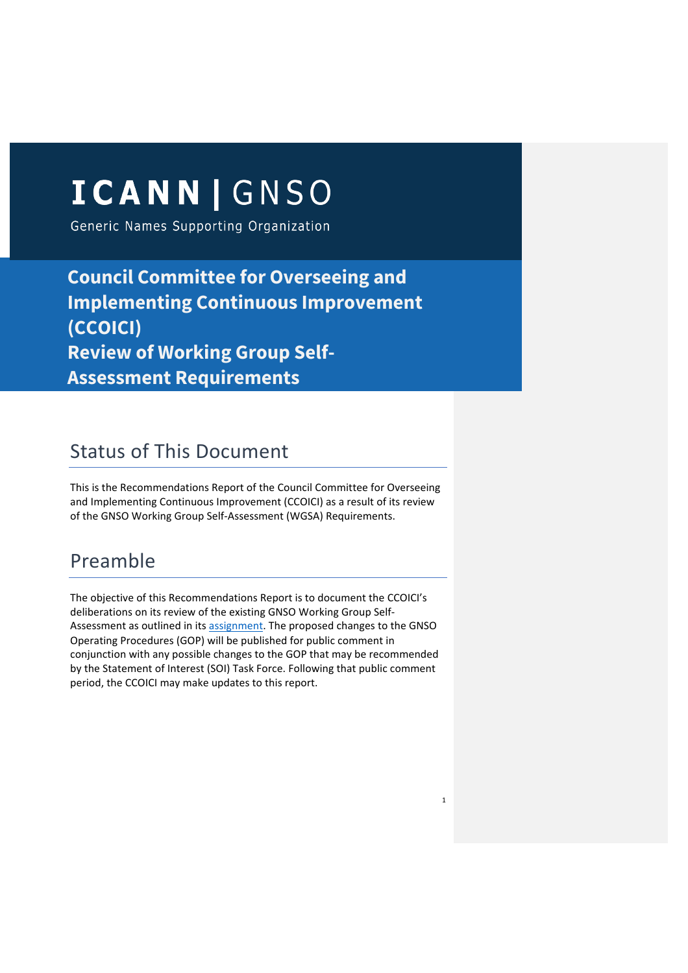# ICANN | GNSO

Generic Names Supporting Organization

**Council Committee for Overseeing and Implementing Continuous Improvement (CCOICI) Review of Working Group Self-Assessment Requirements**

## Status of This Document

This is the Recommendations Report of the Council Committee for Overseeing and Implementing Continuous Improvement (CCOICI) as a result of its review of the GNSO Working Group Self-Assessment (WGSA) Requirements.

## Preamble

The objective of this Recommendations Report is to document the CCOICI's deliberations on its review of the existing GNSO Working Group Self-Assessment as outlined in its assignment. The proposed changes to the GNSO Operating Procedures (GOP) will be published for public comment in conjunction with any possible changes to the GOP that may be recommended by the Statement of Interest (SOI) Task Force. Following that public comment period, the CCOICI may make updates to this report.

1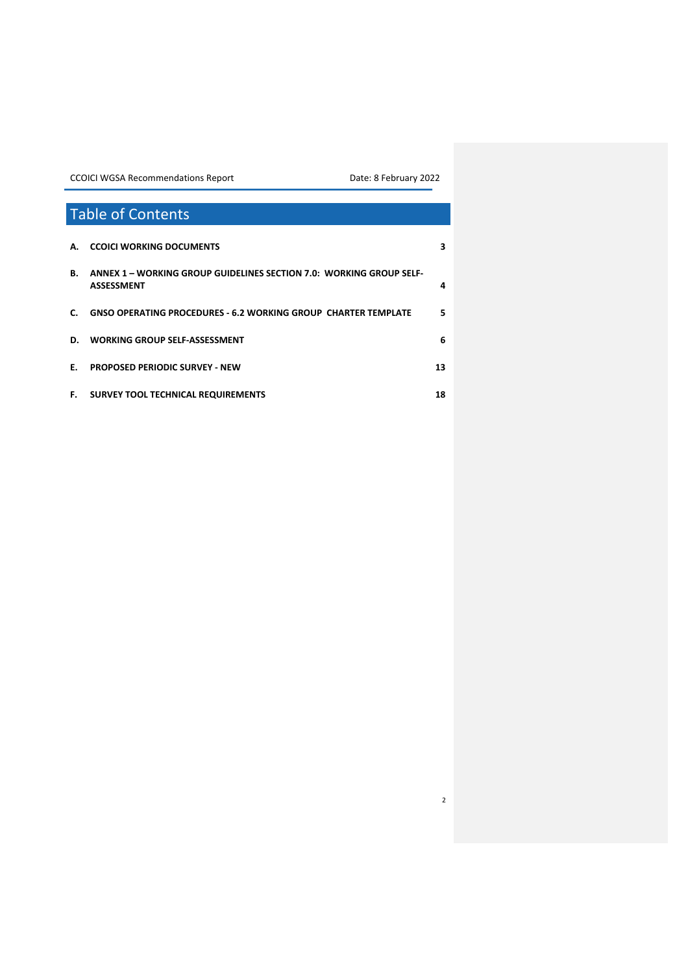2

## Table of Contents **A. CCOICI WORKING DOCUMENTS 3 B. ANNEX 1 – WORKING GROUP GUIDELINES SECTION 7.0: WORKING GROUP SELF-ASSESSMENT 4 C. GNSO OPERATING PROCEDURES - 6.2 WORKING GROUP CHARTER TEMPLATE 5 D. WORKING GROUP SELF-ASSESSMENT 6 E. PROPOSED PERIODIC SURVEY - NEW 13 F. SURVEY TOOL TECHNICAL REQUIREMENTS 18**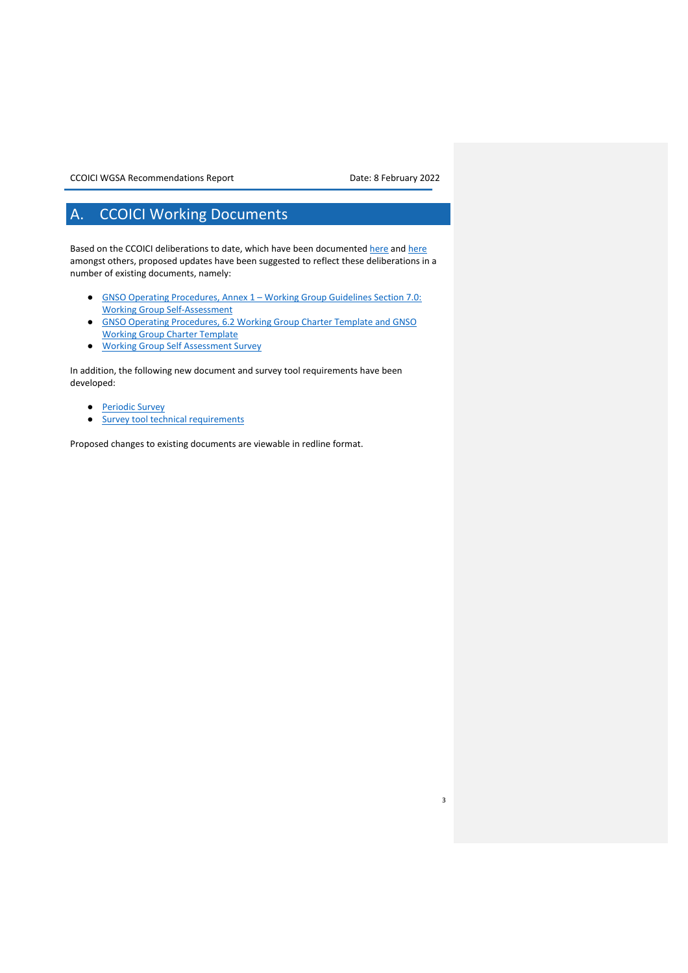3

## A. CCOICI Working Documents

Based on the CCOICI deliberations to date, which have been documented here and here amongst others, proposed updates have been suggested to reflect these deliberations in a number of existing documents, namely:

- GNSO Operating Procedures, Annex 1 Working Group Guidelines Section 7.0: Working Group Self-Assessment
- GNSO Operating Procedures, 6.2 Working Group Charter Template and GNSO Working Group Charter Template
- Working Group Self Assessment Survey

In addition, the following new document and survey tool requirements have been developed:

- **Periodic Survey**
- Survey tool technical requirements

Proposed changes to existing documents are viewable in redline format.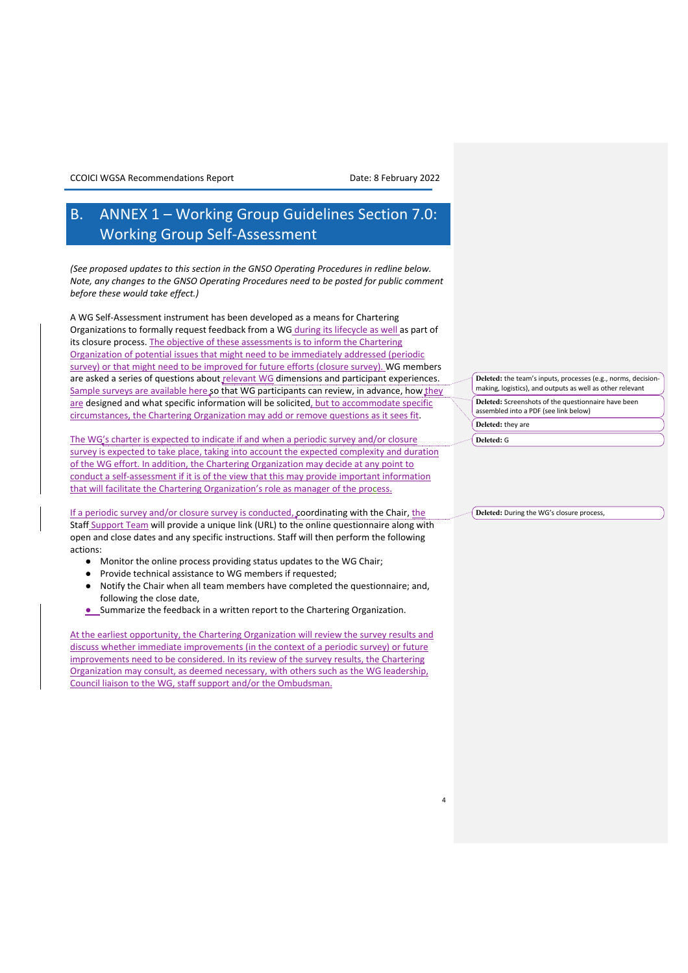## B. ANNEX 1 – Working Group Guidelines Section 7.0: Working Group Self-Assessment

*(See proposed updates to this section in the GNSO Operating Procedures in redline below. Note, any changes to the GNSO Operating Procedures need to be posted for public comment before these would take effect.)*

A WG Self-Assessment instrument has been developed as a means for Chartering Organizations to formally request feedback from a WG during its lifecycle as well as part of its closure process. The objective of these assessments is to inform the Chartering Organization of potential issues that might need to be immediately addressed (periodic survey) or that might need to be improved for future efforts (closure survey). WG members are asked a series of questions about relevant WG dimensions and participant experiences. Sample surveys are available here so that WG participants can review, in advance, how they are designed and what specific information will be solicited, but to accommodate specific circumstances, the Chartering Organization may add or remove questions as it sees fit.

The WG's charter is expected to indicate if and when a periodic survey and/or closure survey is expected to take place, taking into account the expected complexity and duration of the WG effort. In addition, the Chartering Organization may decide at any point to conduct a self-assessment if it is of the view that this may provide important information that will facilitate the Chartering Organization's role as manager of the process.

If a periodic survey and/or closure survey is conducted, coordinating with the Chair, the Staff Support Team will provide a unique link (URL) to the online questionnaire along with open and close dates and any specific instructions. Staff will then perform the following actions:

- Monitor the online process providing status updates to the WG Chair;
- Provide technical assistance to WG members if requested;
- Notify the Chair when all team members have completed the questionnaire; and, following the close date,
- Summarize the feedback in a written report to the Chartering Organization.

At the earliest opportunity, the Chartering Organization will review the survey results and discuss whether immediate improvements (in the context of a periodic survey) or future improvements need to be considered. In its review of the survey results, the Chartering Organization may consult, as deemed necessary, with others such as the WG leadership, Council liaison to the WG, staff support and/or the Ombudsman.

**Deleted:** the team's inputs, processes (e.g., norms, decisionmaking, logistics), and outputs as well as other relevant **Deleted:** Screenshots of the questionnaire have been

assembled into a PDF (see link below) **Deleted:** they are

**Deleted:** G

4

**Deleted:** During the WG's closure process,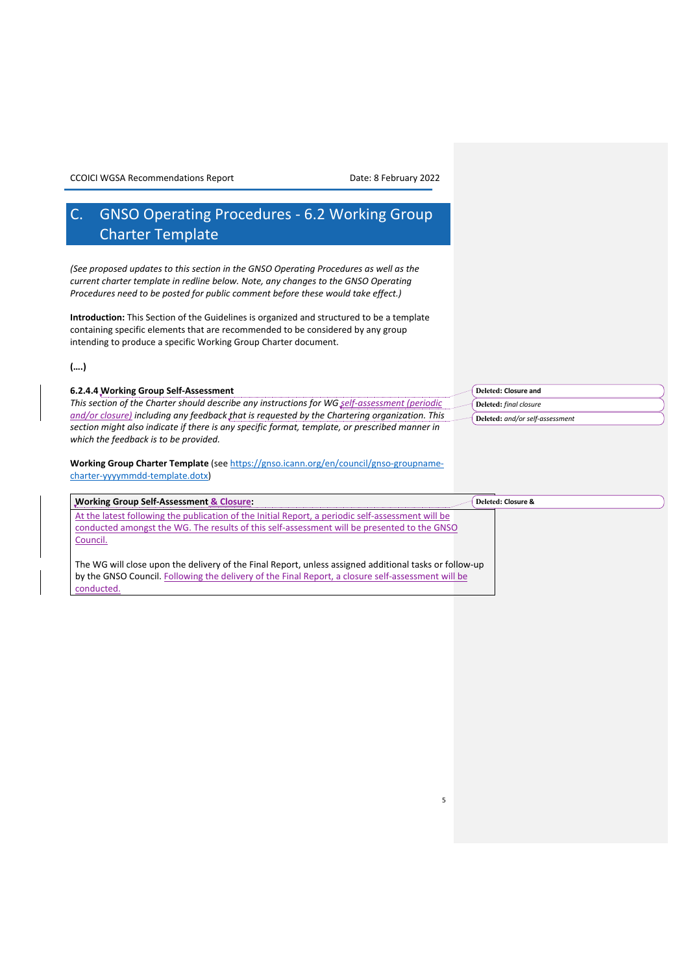## C. GNSO Operating Procedures - 6.2 Working Group Charter Template

*(See proposed updates to this section in the GNSO Operating Procedures as well as the current charter template in redline below. Note, any changes to the GNSO Operating Procedures need to be posted for public comment before these would take effect.)*

**Introduction:** This Section of the Guidelines is organized and structured to be a template containing specific elements that are recommended to be considered by any group intending to produce a specific Working Group Charter document.

### **(….)**

| 6.2.4.4 Working Group Self-Assessment                                                          | Deleted: Closure and            |  |  |  |  |  |  |  |  |
|------------------------------------------------------------------------------------------------|---------------------------------|--|--|--|--|--|--|--|--|
| This section of the Charter should describe any instructions for WG self-assessment (periodic  | Deleted: final closure          |  |  |  |  |  |  |  |  |
| and/or closure) including any feedback that is requested by the Chartering organization. This  | Deleted: and/or self-assessment |  |  |  |  |  |  |  |  |
| section might also indicate if there is any specific format, template, or prescribed manner in |                                 |  |  |  |  |  |  |  |  |
| which the feedback is to be provided.                                                          |                                 |  |  |  |  |  |  |  |  |
|                                                                                                |                                 |  |  |  |  |  |  |  |  |

**Working Group Charter Template** (see https://gnso.icann.org/en/council/gnso-groupnamecharter-yyyymmdd-template.dotx)

| <b>Working Group Self-Assessment &amp; Closure:</b>                                                    | Deleted: Closure & |
|--------------------------------------------------------------------------------------------------------|--------------------|
| At the latest following the publication of the Initial Report, a periodic self-assessment will be      |                    |
| conducted amongst the WG. The results of this self-assessment will be presented to the GNSO            |                    |
| Council.                                                                                               |                    |
|                                                                                                        |                    |
| The WG will close upon the delivery of the Final Report, unless assigned additional tasks or follow-up |                    |
| by the GNSO Council. Following the delivery of the Final Report, a closure self-assessment will be     |                    |
| conducted.                                                                                             |                    |

5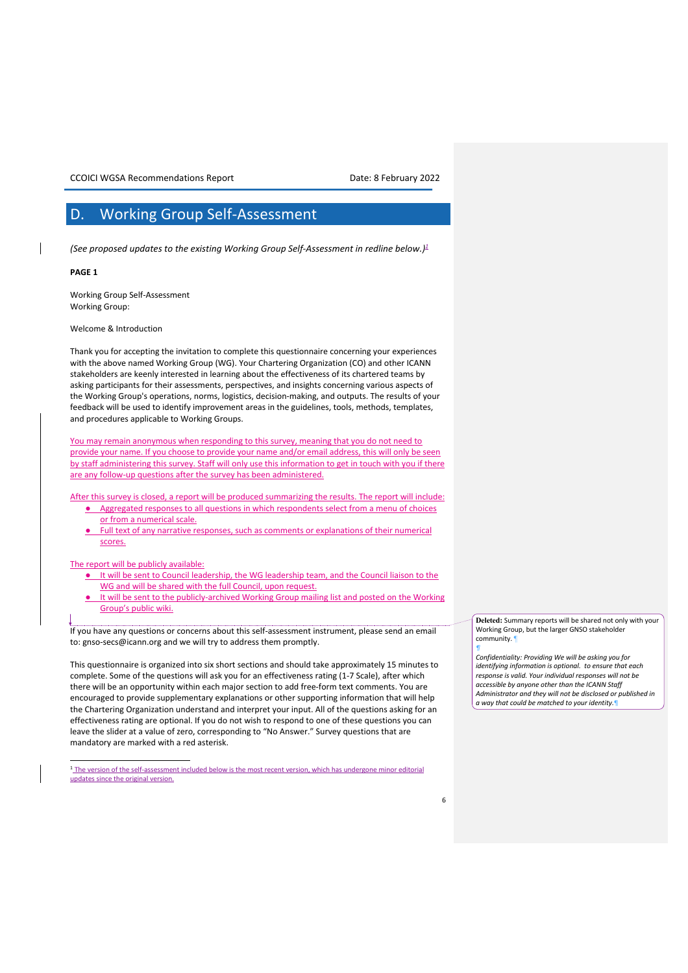### D. Working Group Self-Assessment

*(See proposed updates to the existing Working Group Self-Assessment in redline below.)1*

### **PAGE 1**

Working Group Self-Assessment Working Group:

Welcome & Introduction

Thank you for accepting the invitation to complete this questionnaire concerning your experiences with the above named Working Group (WG). Your Chartering Organization (CO) and other ICANN stakeholders are keenly interested in learning about the effectiveness of its chartered teams by asking participants for their assessments, perspectives, and insights concerning various aspects of the Working Group's operations, norms, logistics, decision-making, and outputs. The results of your feedback will be used to identify improvement areas in the guidelines, tools, methods, templates, and procedures applicable to Working Groups.

You may remain anonymous when responding to this survey, meaning that you do not need to provide your name. If you choose to provide your name and/or email address, this will only be seen by staff administering this survey. Staff will only use this information to get in touch with you if there are any follow-up questions after the survey has been administered.

After this survey is closed, a report will be produced summarizing the results. The report will include:

- Aggregated responses to all questions in which respondents select from a menu of choices or from a numerical scale.
- Full text of any narrative responses, such as comments or explanations of their numerical scores.

### The report will be publicly available:

- It will be sent to Council leadership, the WG leadership team, and the Council liaison to the WG and will be shared with the full Council, upon request.
- It will be sent to the publicly-archived Working Group mailing list and posted on the Working Group's public wiki.

If you have any questions or concerns about this self-assessment instrument, please send an email to: gnso-secs@icann.org and we will try to address them promptly.

This questionnaire is organized into six short sections and should take approximately 15 minutes to complete. Some of the questions will ask you for an effectiveness rating (1-7 Scale), after which there will be an opportunity within each major section to add free-form text comments. You are encouraged to provide supplementary explanations or other supporting information that will help the Chartering Organization understand and interpret your input. All of the questions asking for an effectiveness rating are optional. If you do not wish to respond to one of these questions you can leave the slider at a value of zero, corresponding to "No Answer." Survey questions that are mandatory are marked with a red asterisk.

<sup>1</sup> The version of the self-assessment included below is the most recent version, which has undergone minor editorial updates since the original version.

**Deleted:** Summary reports will be shared not only with your Working Group, but the larger GNSO stakeholder community.

*¶ Confidentiality: Providing We will be asking you for identifying information is optional. to ensure that each response is valid. Your individual responses will not be accessible by anyone other than the ICANN Staff Administrator and they will not be disclosed or published in a way that could be matched to your identity.*¶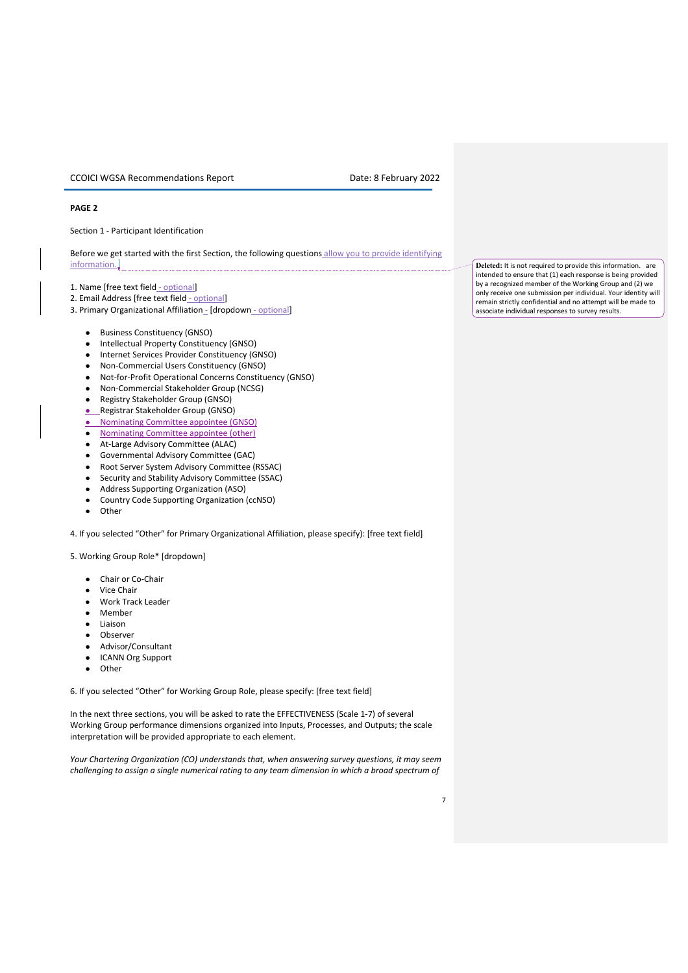### **PAGE 2**

Section 1 - Participant Identification

Before we get started with the first Section, the following questions allow you to provide identifying information.

- 1. Name [free text field optional]
- 2. Email Address [free text field optional]
- 3. Primary Organizational Affiliation \_ [dropdown optional]
	- Business Constituency (GNSO)
	- Intellectual Property Constituency (GNSO)
	- Internet Services Provider Constituency (GNSO)
	- Non-Commercial Users Constituency (GNSO)
	- Not-for-Profit Operational Concerns Constituency (GNSO)
	- Non-Commercial Stakeholder Group (NCSG)
	- Registry Stakeholder Group (GNSO)
	- Registrar Stakeholder Group (GNSO)
	- Nominating Committee appointee (GNSO)
	- Nominating Committee appointee (other)
	- At-Large Advisory Committee (ALAC)
	- Governmental Advisory Committee (GAC)
	- Root Server System Advisory Committee (RSSAC)
	- Security and Stability Advisory Committee (SSAC)
	- Address Supporting Organization (ASO)
	- Country Code Supporting Organization (ccNSO)
	- Other

4. If you selected "Other" for Primary Organizational Affiliation, please specify): [free text field]

5. Working Group Role\* [dropdown]

- Chair or Co-Chair
- **Vice Chair**
- Work Track Leader
- **Member**
- Liaison
- Observer
- Advisor/Consultant
- **ICANN Org Support**
- Other

6. If you selected "Other" for Working Group Role, please specify: [free text field]

In the next three sections, you will be asked to rate the EFFECTIVENESS (Scale 1-7) of several Working Group performance dimensions organized into Inputs, Processes, and Outputs; the scale interpretation will be provided appropriate to each element.

*Your Chartering Organization (CO) understands that, when answering survey questions, it may seem challenging to assign a single numerical rating to any team dimension in which a broad spectrum of* 

**Deleted:** It is not required to provide this information. are intended to ensure that (1) each response is being provided by a recognized member of the Working Group and (2) we only receive one submission per individual. Your identity will remain strictly confidential and no attempt will be made to associate individual responses to survey results.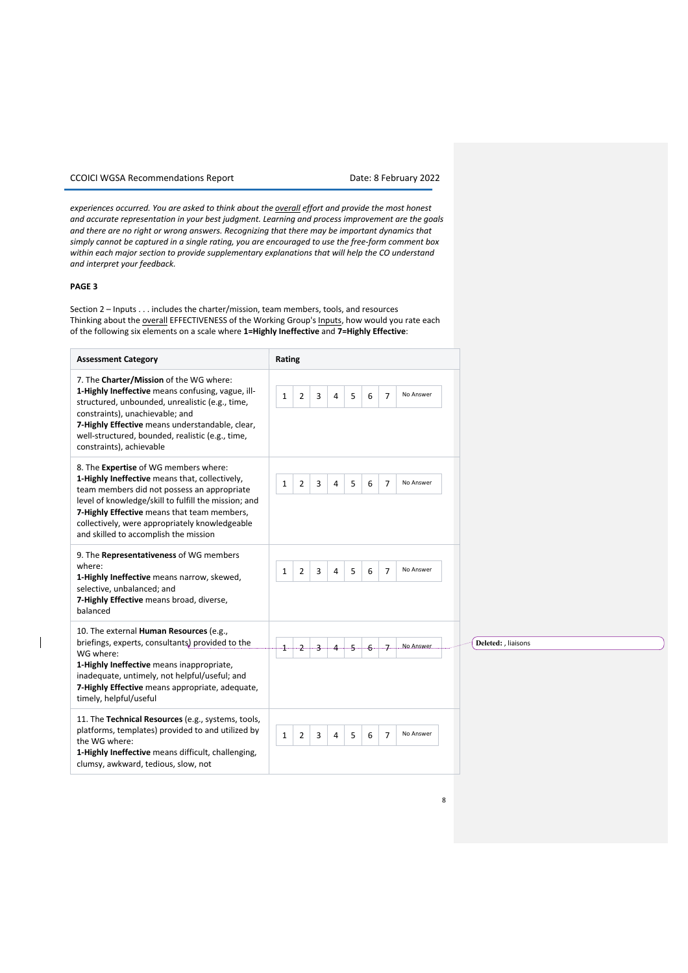*experiences occurred. You are asked to think about the overall effort and provide the most honest and accurate representation in your best judgment. Learning and process improvement are the goals and there are no right or wrong answers. Recognizing that there may be important dynamics that simply cannot be captured in a single rating, you are encouraged to use the free-form comment box within each major section to provide supplementary explanations that will help the CO understand and interpret your feedback.*

### **PAGE 3**

 $\overline{\phantom{a}}$ 

Section 2 – Inputs . . . includes the charter/mission, team members, tools, and resources Thinking about the overall EFFECTIVENESS of the Working Group's Inputs, how would you rate each of the following six elements on a scale where **1=Highly Ineffective** and **7=Highly Effective**:

| <b>Assessment Category</b>                                                                                                                                                                                                                                                                                                               | Rating                                                                                         |                     |
|------------------------------------------------------------------------------------------------------------------------------------------------------------------------------------------------------------------------------------------------------------------------------------------------------------------------------------------|------------------------------------------------------------------------------------------------|---------------------|
| 7. The Charter/Mission of the WG where:<br>1-Highly Ineffective means confusing, vague, ill-<br>structured, unbounded, unrealistic (e.g., time,<br>constraints), unachievable; and<br>7-Highly Effective means understandable, clear,<br>well-structured, bounded, realistic (e.g., time,<br>constraints), achievable                    | No Answer<br>$\overline{2}$<br>5<br>3<br>6<br>$\overline{7}$<br>$\mathbf{1}$<br>4              |                     |
| 8. The Expertise of WG members where:<br>1-Highly Ineffective means that, collectively,<br>team members did not possess an appropriate<br>level of knowledge/skill to fulfill the mission; and<br>7-Highly Effective means that team members,<br>collectively, were appropriately knowledgeable<br>and skilled to accomplish the mission | $\overline{2}$<br>5<br>No Answer<br>3<br>$\overline{a}$<br>6<br>$\overline{7}$<br>$\mathbf{1}$ |                     |
| 9. The Representativeness of WG members<br>where:<br>1-Highly Ineffective means narrow, skewed,<br>selective, unbalanced; and<br>7-Highly Effective means broad, diverse,<br>balanced                                                                                                                                                    | No Answer<br>$\overline{2}$<br>3<br>5<br>6<br>$\overline{7}$<br>$\mathbf{1}$<br>4              |                     |
| 10. The external Human Resources (e.g.,<br>briefings, experts, consultants) provided to the<br>WG where:<br>1-Highly Ineffective means inappropriate,<br>inadequate, untimely, not helpful/useful; and<br>7-Highly Effective means appropriate, adequate,<br>timely, helpful/useful                                                      | No Answer.<br><del></del><br>J.<br>-6<br>-2---<br>-4----                                       | Deleted: , liaisons |
| 11. The Technical Resources (e.g., systems, tools,<br>platforms, templates) provided to and utilized by<br>the WG where:<br>1-Highly Ineffective means difficult, challenging,<br>clumsy, awkward, tedious, slow, not                                                                                                                    | No Answer<br>$\mathbf{1}$<br>3<br>5<br>$\overline{7}$<br>$\overline{2}$<br>4<br>6              |                     |

8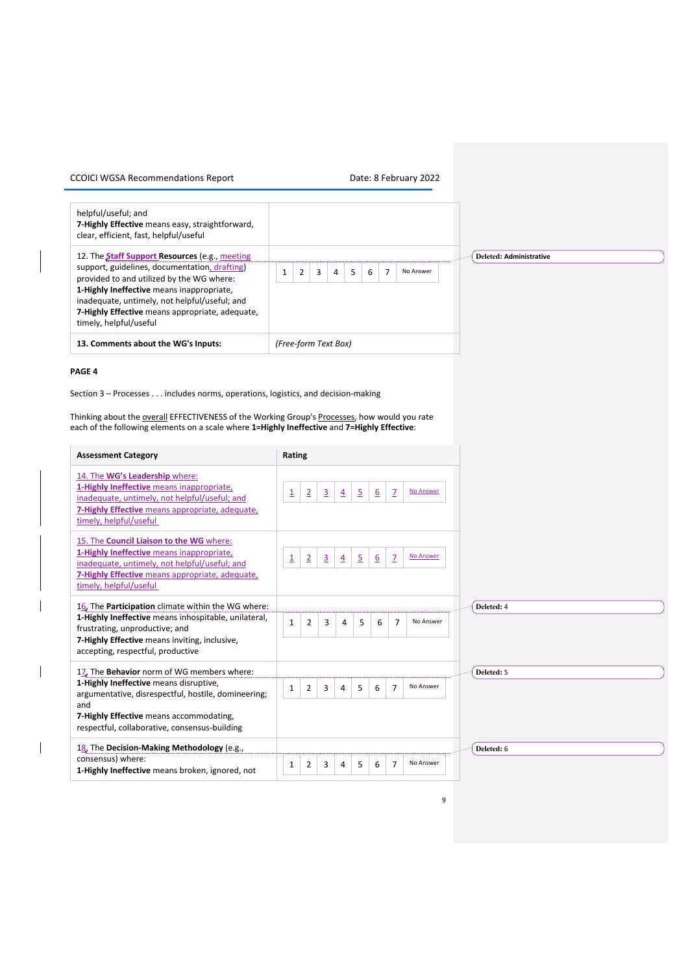| helpful/useful; and<br>7-Highly Effective means easy, straightforward,<br>clear, efficient, fast, helpful/useful                                                                                                                                                                                                               |                                                              |                                |
|--------------------------------------------------------------------------------------------------------------------------------------------------------------------------------------------------------------------------------------------------------------------------------------------------------------------------------|--------------------------------------------------------------|--------------------------------|
| 12. The <b>Staff Support Resources</b> (e.g., meeting<br>support, guidelines, documentation, drafting)<br>provided to and utilized by the WG where:<br>1-Highly Ineffective means inappropriate,<br>inadequate, untimely, not helpful/useful; and<br>7-Highly Effective means appropriate, adequate,<br>timely, helpful/useful | $\overline{2}$<br>$\overline{3}$<br>No Answer<br>5<br>4<br>6 | <b>Deleted: Administrative</b> |
| 13. Comments about the WG's Inputs:                                                                                                                                                                                                                                                                                            | (Free-form Text Box)                                         |                                |

### **PAGE 4**

 $\overline{\phantom{a}}$ 

Section 3 – Processes . . . includes norms, operations, logistics, and decision-making

Thinking about the **overall EFFECTIVENESS** of the Working Group's Processes, how would you rate each of the following elements on a scale where **1=Highly Ineffective** and **7=Highly Effective**:

| <b>Assessment Category</b>                                                                                                                                                                                                         | Rating                                                                                                                                           |
|------------------------------------------------------------------------------------------------------------------------------------------------------------------------------------------------------------------------------------|--------------------------------------------------------------------------------------------------------------------------------------------------|
| 14. The WG's Leadership where:<br>1-Highly Ineffective means inappropriate,<br>inadequate, untimely, not helpful/useful; and<br>7-Highly Effective means appropriate, adequate,<br>timely, helpful/useful                          | No Answer<br>$\overline{z}$<br>$\overline{2}$<br>$\overline{3}$<br>$\overline{\mathbf{1}}$<br>$\overline{2}$<br>6<br>$\overline{4}$              |
| 15. The Council Liaison to the WG where:<br>1-Highly Ineffective means inappropriate,<br>inadequate, untimely, not helpful/useful; and<br>7-Highly Effective means appropriate, adequate,<br>timely, helpful/useful                | $\overline{2}$<br>$\overline{3}$<br>$\mathbf{Z}$<br>No Answer<br>$\overline{\mathbf{1}}$<br>$\overline{5}$<br>$6 \overline{6}$<br>$\overline{4}$ |
| 16. The Participation climate within the WG where:<br>1-Highly Ineffective means inhospitable, unilateral,<br>frustrating, unproductive; and<br>7-Highly Effective means inviting, inclusive,<br>accepting, respectful, productive | Deleted: 4<br>No Answer<br>$\mathbf{1}$<br>$\overline{2}$<br>5<br>6<br>$\overline{7}$<br>3<br>4                                                  |
| 17. The Behavior norm of WG members where:                                                                                                                                                                                         | Deleted: 5                                                                                                                                       |
| 1-Highly Ineffective means disruptive,<br>argumentative, disrespectful, hostile, domineering;<br>and<br>7-Highly Effective means accommodating,<br>respectful, collaborative, consensus-building                                   | $\overline{7}$<br>No Answer<br>$\overline{2}$<br>3<br>5<br>$\mathbf{1}$<br>6<br>4                                                                |
|                                                                                                                                                                                                                                    |                                                                                                                                                  |
| 18. The Decision-Making Methodology (e.g.,<br>consensus) where:<br>1-Highly Ineffective means broken, ignored, not                                                                                                                 | Deleted: 6<br>No Answer<br>$\overline{7}$<br>$\overline{2}$<br>3<br>5<br>6<br>1<br>4                                                             |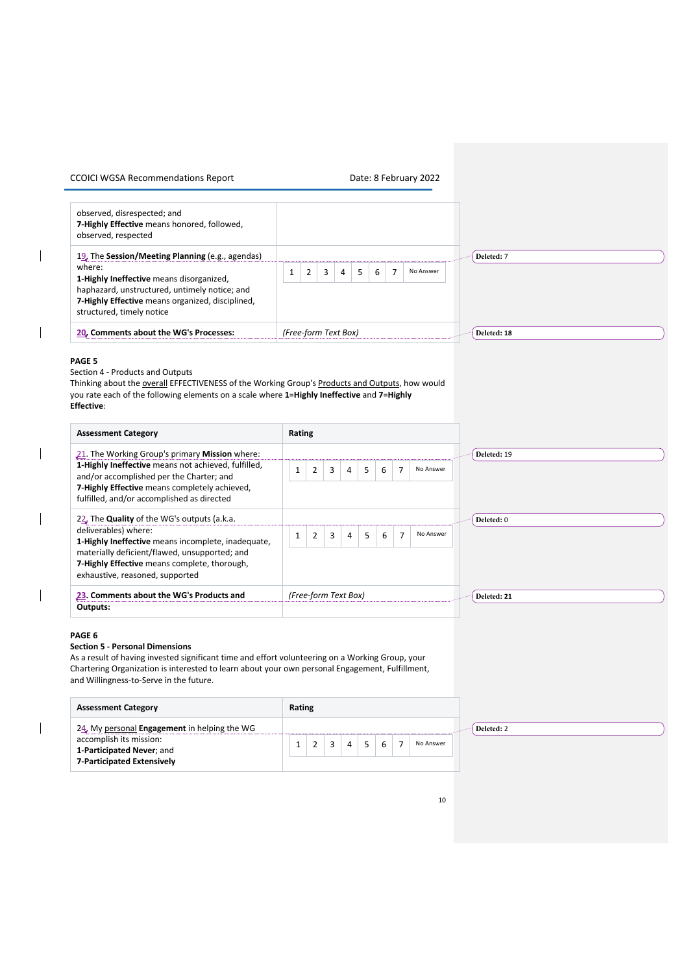| <b>CCOICI WGSA Recommendations Report</b> |  |  |
|-------------------------------------------|--|--|
|-------------------------------------------|--|--|

| observed, disrespected; and<br>7-Highly Effective means honored, followed,<br>observed, respected                                                                                                                                        |                                                                                                                           |
|------------------------------------------------------------------------------------------------------------------------------------------------------------------------------------------------------------------------------------------|---------------------------------------------------------------------------------------------------------------------------|
| 19. The Session/Meeting Planning (e.g., agendas)<br>where:<br>1-Highly Ineffective means disorganized,<br>haphazard, unstructured, untimely notice; and<br>7-Highly Effective means organized, disciplined,<br>structured, timely notice | Deleted: 7<br>6<br>$\overline{7}$<br>5 <sup>1</sup><br>No Answer<br>$\overline{4}$<br>3<br>$\mathbf{1}$<br>$\overline{2}$ |
| 20. Comments about the WG's Processes:                                                                                                                                                                                                   | (Free-form Text Box)<br>Deleted: 18                                                                                       |

### **PAGE 5**

 $\overline{\phantom{a}}$ 

 $\overline{\phantom{a}}$ 

 $\overline{\phantom{a}}$ 

Section 4 - Products and Outputs

Thinking about the overall EFFECTIVENESS of the Working Group's Products and Outputs, how would you rate each of the following elements on a scale where **1=Highly Ineffective** and **7=Highly Effective**:

| <b>Assessment Category</b>                                                                                                                                                                                                                                    | Rating                                                                                                      |             |
|---------------------------------------------------------------------------------------------------------------------------------------------------------------------------------------------------------------------------------------------------------------|-------------------------------------------------------------------------------------------------------------|-------------|
| 21. The Working Group's primary Mission where:                                                                                                                                                                                                                |                                                                                                             | Deleted: 19 |
| 1-Highly Ineffective means not achieved, fulfilled,<br>and/or accomplished per the Charter; and<br>7-Highly Effective means completely achieved,<br>fulfilled, and/or accomplished as directed                                                                | $\overline{7}$<br>No Answer<br>$\overline{2}$<br>5 <sup>5</sup><br>6<br>$\mathbf{1}$<br>3<br>4              |             |
| 22. The Quality of the WG's outputs (a.k.a.<br>deliverables) where:<br>1-Highly Ineffective means incomplete, inadequate,<br>materially deficient/flawed, unsupported; and<br>7-Highly Effective means complete, thorough,<br>exhaustive, reasoned, supported | $\overline{7}$<br>5 <sup>1</sup><br>6<br>No Answer<br>$\overline{2}$<br>$\overline{4}$<br>3<br>$\mathbf{1}$ | Deleted: 0  |
| 23. Comments about the WG's Products and                                                                                                                                                                                                                      | (Free-form Text Box)                                                                                        | Deleted: 21 |
| Outputs:                                                                                                                                                                                                                                                      |                                                                                                             |             |

### **PAGE 6**

### **Section 5 - Personal Dimensions**

As a result of having invested significant time and effort volunteering on a Working Group, your Chartering Organization is interested to learn about your own personal Engagement, Fulfillment, and Willingness-to-Serve in the future.

| <b>Assessment Category</b>                                                                                                         | Rating |  |                |   |                          |           |            |
|------------------------------------------------------------------------------------------------------------------------------------|--------|--|----------------|---|--------------------------|-----------|------------|
| 24. My personal Engagement in helping the WG<br>accomplish its mission:<br>1-Participated Never; and<br>7-Participated Extensively |        |  | $\overline{a}$ | 5 | $\overline{\phantom{a}}$ | No Answer | Deleted: 2 |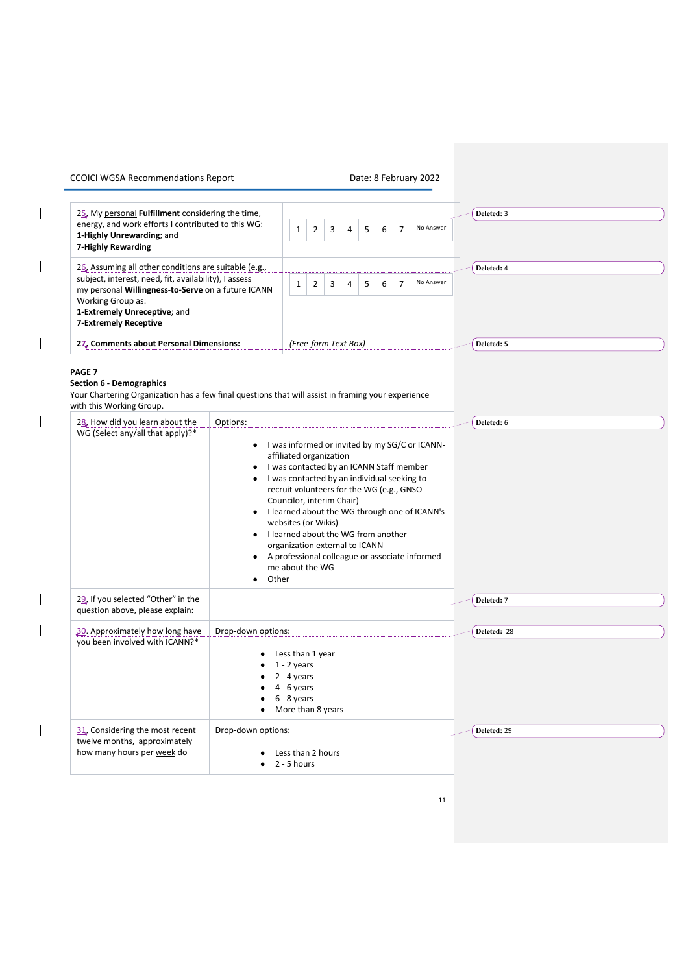$\begin{array}{c} \hline \end{array}$ 

 $\overline{\phantom{a}}$ 

 $\begin{array}{c} \hline \end{array}$ 

 $\overline{\phantom{a}}$ 

 $\overline{\phantom{a}}$ 

 $\overline{\phantom{a}}$ 

 $\overline{\mathbf{I}}$ 

| 25. My personal Fulfillment considering the time,                                                                                                                                                       |                                 |                                                                                                                                                                                                                                                                                                                 |                                                                                                |                      |   |   |   |                |                                                                                                                                                     | Deleted: 3  |
|---------------------------------------------------------------------------------------------------------------------------------------------------------------------------------------------------------|---------------------------------|-----------------------------------------------------------------------------------------------------------------------------------------------------------------------------------------------------------------------------------------------------------------------------------------------------------------|------------------------------------------------------------------------------------------------|----------------------|---|---|---|----------------|-----------------------------------------------------------------------------------------------------------------------------------------------------|-------------|
| energy, and work efforts I contributed to this WG:<br>1-Highly Unrewarding; and<br>7-Highly Rewarding                                                                                                   |                                 |                                                                                                                                                                                                                                                                                                                 | $\overline{2}$                                                                                 | 3                    | 4 | 5 | 6 | $\overline{7}$ | No Answer                                                                                                                                           |             |
| 26. Assuming all other conditions are suitable (e.g.,                                                                                                                                                   |                                 |                                                                                                                                                                                                                                                                                                                 |                                                                                                |                      |   |   |   |                |                                                                                                                                                     | Deleted: 4  |
| subject, interest, need, fit, availability), I assess<br>my personal Willingness-to-Serve on a future ICANN<br><b>Working Group as:</b><br>1-Extremely Unreceptive; and<br><b>7-Extremely Receptive</b> |                                 |                                                                                                                                                                                                                                                                                                                 | No Answer<br>5<br>6<br>$\overline{7}$<br>$\mathbf{1}$<br>$\overline{2}$<br>3<br>$\overline{a}$ |                      |   |   |   |                |                                                                                                                                                     |             |
| 27, Comments about Personal Dimensions:                                                                                                                                                                 |                                 |                                                                                                                                                                                                                                                                                                                 |                                                                                                | (Free-form Text Box) |   |   |   |                |                                                                                                                                                     | Deleted: 5  |
| <b>Section 6 - Demographics</b><br>Your Chartering Organization has a few final questions that will assist in framing your experience<br>with this Working Group.<br>28. How did you learn about the    | Options:                        |                                                                                                                                                                                                                                                                                                                 |                                                                                                |                      |   |   |   |                |                                                                                                                                                     | Deleted: 6  |
| WG (Select any/all that apply)?*                                                                                                                                                                        | Other<br>$\bullet$              | affiliated organization<br>I was contacted by an ICANN Staff member<br>I was contacted by an individual seeking to<br>recruit volunteers for the WG (e.g., GNSO<br>Councilor, interim Chair)<br>websites (or Wikis)<br>I learned about the WG from another<br>organization external to ICANN<br>me about the WG |                                                                                                |                      |   |   |   |                | • I was informed or invited by my SG/C or ICANN-<br>I learned about the WG through one of ICANN's<br>A professional colleague or associate informed |             |
| 29. If you selected "Other" in the                                                                                                                                                                      |                                 |                                                                                                                                                                                                                                                                                                                 |                                                                                                |                      |   |   |   |                |                                                                                                                                                     | Deleted: 7  |
| question above, please explain:                                                                                                                                                                         |                                 |                                                                                                                                                                                                                                                                                                                 |                                                                                                |                      |   |   |   |                |                                                                                                                                                     |             |
| 30. Approximately how long have<br>you been involved with ICANN?*                                                                                                                                       | Drop-down options:<br>$\bullet$ | Less than 1 year<br>$1 - 2$ years<br>$2 - 4$ years<br>$4 - 6$ years<br>$6 - 8$ years<br>More than 8 years                                                                                                                                                                                                       |                                                                                                |                      |   |   |   |                |                                                                                                                                                     | Deleted: 28 |
| 31. Considering the most recent<br>twelve months, approximately<br>how many hours per week do                                                                                                           | Drop-down options:<br>$\bullet$ | Less than 2 hours<br>2 - 5 hours                                                                                                                                                                                                                                                                                |                                                                                                |                      |   |   |   |                |                                                                                                                                                     | Deleted: 29 |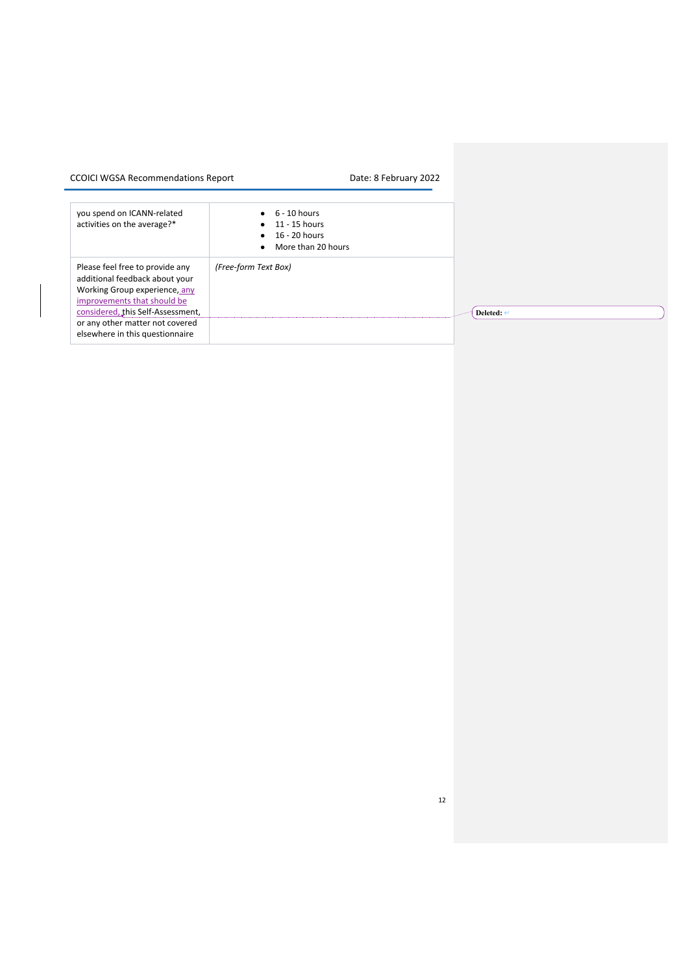| you spend on ICANN-related<br>activities on the average?*                                                                                                              | $6 - 10$ hours<br>$\bullet$ 11 - 15 hours<br>$\bullet$ 16 - 20 hours<br>More than 20 hours<br>$\bullet$ |                       |
|------------------------------------------------------------------------------------------------------------------------------------------------------------------------|---------------------------------------------------------------------------------------------------------|-----------------------|
| Please feel free to provide any<br>additional feedback about your<br>Working Group experience, any<br>improvements that should be<br>considered, this Self-Assessment, | (Free-form Text Box)                                                                                    | Deleted: $\leftarrow$ |
| or any other matter not covered<br>elsewhere in this questionnaire                                                                                                     |                                                                                                         |                       |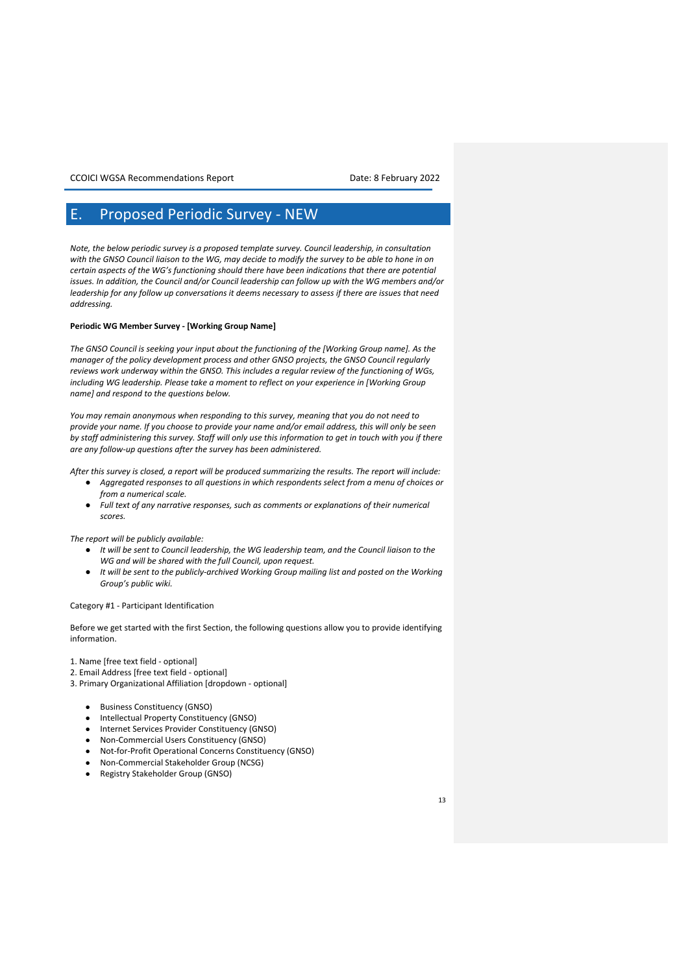## E. Proposed Periodic Survey - NEW

*Note, the below periodic survey is a proposed template survey. Council leadership, in consultation with the GNSO Council liaison to the WG, may decide to modify the survey to be able to hone in on certain aspects of the WG's functioning should there have been indications that there are potential issues. In addition, the Council and/or Council leadership can follow up with the WG members and/or leadership for any follow up conversations it deems necessary to assess if there are issues that need addressing.* 

### **Periodic WG Member Survey - [Working Group Name]**

*The GNSO Council is seeking your input about the functioning of the [Working Group name]. As the manager of the policy development process and other GNSO projects, the GNSO Council regularly reviews work underway within the GNSO. This includes a regular review of the functioning of WGs, including WG leadership. Please take a moment to reflect on your experience in [Working Group name] and respond to the questions below.* 

*You may remain anonymous when responding to this survey, meaning that you do not need to provide your name. If you choose to provide your name and/or email address, this will only be seen by staff administering this survey. Staff will only use this information to get in touch with you if there are any follow-up questions after the survey has been administered.* 

*After this survey is closed, a report will be produced summarizing the results. The report will include:*

- *Aggregated responses to all questions in which respondents select from a menu of choices or from a numerical scale.*
- Full text of any narrative responses, such as comments or explanations of their numerical *scores.*

*The report will be publicly available:*

- *It will be sent to Council leadership, the WG leadership team, and the Council liaison to the WG and will be shared with the full Council, upon request.*
- *It will be sent to the publicly-archived Working Group mailing list and posted on the Working Group's public wiki.*

### Category #1 - Participant Identification

Before we get started with the first Section, the following questions allow you to provide identifying information.

1. Name [free text field - optional]

- 2. Email Address [free text field optional]
- 3. Primary Organizational Affiliation [dropdown optional]
	- **Business Constituency (GNSO)**
	- Intellectual Property Constituency (GNSO)
	- Internet Services Provider Constituency (GNSO)
	- Non-Commercial Users Constituency (GNSO)
	- Not-for-Profit Operational Concerns Constituency (GNSO)
	- Non-Commercial Stakeholder Group (NCSG)
	- Registry Stakeholder Group (GNSO)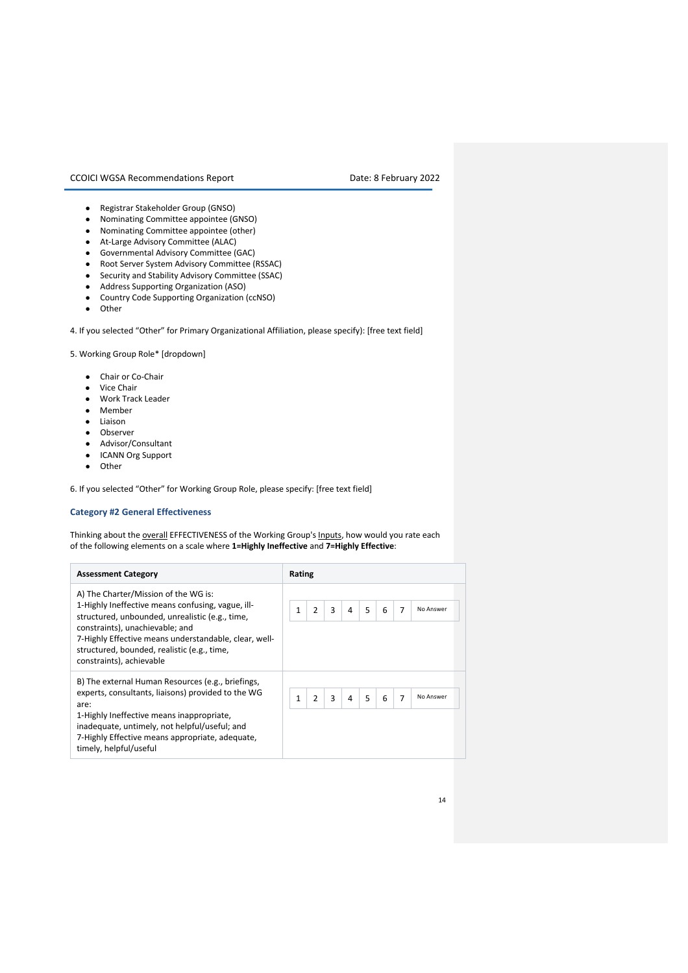- Registrar Stakeholder Group (GNSO)
- Nominating Committee appointee (GNSO)
- Nominating Committee appointee (other)
- At-Large Advisory Committee (ALAC)
- Governmental Advisory Committee (GAC)
- Root Server System Advisory Committee (RSSAC)
- Security and Stability Advisory Committee (SSAC)
- Address Supporting Organization (ASO)
- Country Code Supporting Organization (ccNSO)
- Other

4. If you selected "Other" for Primary Organizational Affiliation, please specify): [free text field]

5. Working Group Role\* [dropdown]

- Chair or Co-Chair
- Vice Chair
- Work Track Leader
- Member
- Liaison
- Observer
- Advisor/Consultant
- ICANN Org Support
- Other

6. If you selected "Other" for Working Group Role, please specify: [free text field]

### **Category #2 General Effectiveness**

Thinking about the **overall EFFECTIVENESS** of the Working Group's **Inputs**, how would you rate each of the following elements on a scale where **1=Highly Ineffective** and **7=Highly Effective**:

| <b>Assessment Category</b>                                                                                                                                                                                                                                                                                          | Rating                                                                 |
|---------------------------------------------------------------------------------------------------------------------------------------------------------------------------------------------------------------------------------------------------------------------------------------------------------------------|------------------------------------------------------------------------|
| A) The Charter/Mission of the WG is:<br>1-Highly Ineffective means confusing, vague, ill-<br>structured, unbounded, unrealistic (e.g., time,<br>constraints), unachievable; and<br>7-Highly Effective means understandable, clear, well-<br>structured, bounded, realistic (e.g., time,<br>constraints), achievable | $\overline{2}$<br>3<br>5<br>6<br>No Answer<br>$\overline{7}$<br>1<br>4 |
| B) The external Human Resources (e.g., briefings,<br>experts, consultants, liaisons) provided to the WG<br>are:<br>1-Highly Ineffective means inappropriate,<br>inadequate, untimely, not helpful/useful; and<br>7-Highly Effective means appropriate, adequate,<br>timely, helpful/useful                          | No Answer<br>$\overline{2}$<br>3<br>5<br>6<br>$\overline{7}$<br>4      |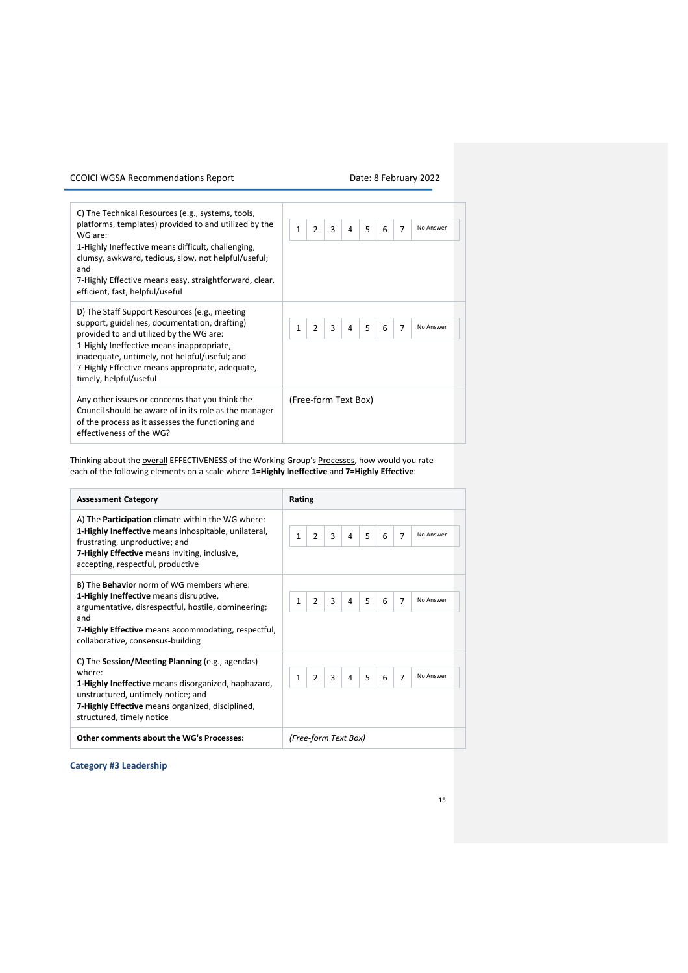| C) The Technical Resources (e.g., systems, tools,<br>platforms, templates) provided to and utilized by the<br>WG are:<br>1-Highly Ineffective means difficult, challenging,<br>clumsy, awkward, tedious, slow, not helpful/useful;<br>and<br>7-Highly Effective means easy, straightforward, clear,<br>efficient, fast, helpful/useful | No Answer<br>$\mathbf{1}$<br>$\overline{2}$<br>5<br>3<br>7<br>4<br>6 |
|----------------------------------------------------------------------------------------------------------------------------------------------------------------------------------------------------------------------------------------------------------------------------------------------------------------------------------------|----------------------------------------------------------------------|
| D) The Staff Support Resources (e.g., meeting<br>support, guidelines, documentation, drafting)<br>provided to and utilized by the WG are:<br>1-Highly Ineffective means inappropriate,<br>inadequate, untimely, not helpful/useful; and<br>7-Highly Effective means appropriate, adequate,<br>timely, helpful/useful                   | 5<br>$\mathbf{1}$<br>$\overline{2}$<br>No Answer<br>3<br>7<br>4<br>6 |
| Any other issues or concerns that you think the<br>Council should be aware of in its role as the manager<br>of the process as it assesses the functioning and<br>effectiveness of the WG?                                                                                                                                              | (Free-form Text Box)                                                 |

Thinking about the **overall EFFECTIVENESS** of the Working Group's Processes, how would you rate each of the following elements on a scale where **1=Highly Ineffective** and **7=Highly Effective**:

| <b>Assessment Category</b>                                                                                                                                                                                                                                  | <b>Rating</b>                                                                     |
|-------------------------------------------------------------------------------------------------------------------------------------------------------------------------------------------------------------------------------------------------------------|-----------------------------------------------------------------------------------|
| A) The <b>Participation</b> climate within the WG where:<br><b>1-Highly Ineffective</b> means inhospitable, unilateral,<br>frustrating, unproductive; and<br><b>7-Highly Effective</b> means inviting, inclusive,<br>accepting, respectful, productive      | 5<br>$\mathbf{1}$<br>$\overline{2}$<br>No Answer<br>3<br>$\overline{7}$<br>6<br>4 |
| B) The <b>Behavior</b> norm of WG members where:<br>1-Highly Ineffective means disruptive,<br>argumentative, disrespectful, hostile, domineering;<br>and<br><b>7-Highly Effective</b> means accommodating, respectful,<br>collaborative, consensus-building | 5<br>$\overline{2}$<br>No Answer<br>1<br>3<br>$\overline{7}$<br>6<br>4            |
| C) The Session/Meeting Planning (e.g., agendas)<br>where:<br>1-Highly Ineffective means disorganized, haphazard,<br>unstructured, untimely notice; and<br>7-Highly Effective means organized, disciplined,<br>structured, timely notice                     | No Answer<br>$\overline{2}$<br>5<br>3<br>$\overline{7}$<br>1<br>6<br>4            |
| Other comments about the WG's Processes:                                                                                                                                                                                                                    | (Free-form Text Box)                                                              |

**Category #3 Leadership**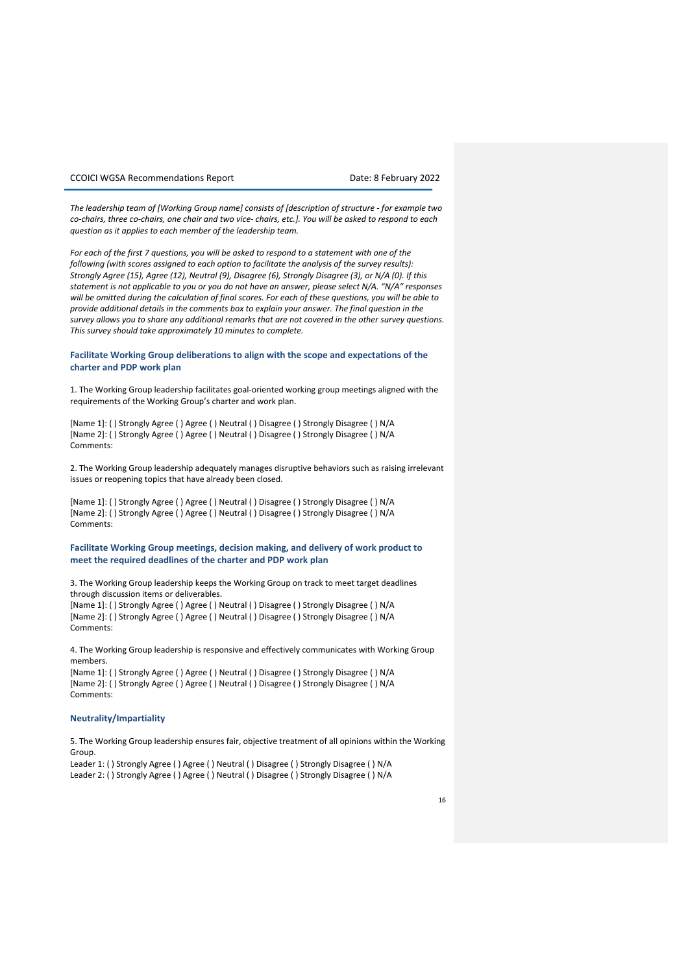*The leadership team of [Working Group name] consists of [description of structure - for example two co-chairs, three co-chairs, one chair and two vice- chairs, etc.]. You will be asked to respond to each question as it applies to each member of the leadership team.* 

*For each of the first 7 questions, you will be asked to respond to a statement with one of the following (with scores assigned to each option to facilitate the analysis of the survey results): Strongly Agree (15), Agree (12), Neutral (9), Disagree (6), Strongly Disagree (3), or N/A (0). If this statement is not applicable to you or you do not have an answer, please select N/A. "N/A" responses will be omitted during the calculation of final scores. For each of these questions, you will be able to provide additional details in the comments box to explain your answer. The final question in the survey allows you to share any additional remarks that are not covered in the other survey questions. This survey should take approximately 10 minutes to complete.* 

### **Facilitate Working Group deliberations to align with the scope and expectations of the charter and PDP work plan**

1. The Working Group leadership facilitates goal-oriented working group meetings aligned with the requirements of the Working Group's charter and work plan.

[Name 1]: ( ) Strongly Agree ( ) Agree ( ) Neutral ( ) Disagree ( ) Strongly Disagree ( ) N/A [Name 2]: ( ) Strongly Agree ( ) Agree ( ) Neutral ( ) Disagree ( ) Strongly Disagree ( ) N/A Comments:

2. The Working Group leadership adequately manages disruptive behaviors such as raising irrelevant issues or reopening topics that have already been closed.

[Name 1]: ( ) Strongly Agree ( ) Agree ( ) Neutral ( ) Disagree ( ) Strongly Disagree ( ) N/A [Name 2]: ( ) Strongly Agree ( ) Agree ( ) Neutral ( ) Disagree ( ) Strongly Disagree ( ) N/A Comments:

**Facilitate Working Group meetings, decision making, and delivery of work product to meet the required deadlines of the charter and PDP work plan** 

3. The Working Group leadership keeps the Working Group on track to meet target deadlines through discussion items or deliverables.

[Name 1]: ( ) Strongly Agree ( ) Agree ( ) Neutral ( ) Disagree ( ) Strongly Disagree ( ) N/A [Name 2]: ( ) Strongly Agree ( ) Agree ( ) Neutral ( ) Disagree ( ) Strongly Disagree ( ) N/A Comments:

4. The Working Group leadership is responsive and effectively communicates with Working Group members.

[Name 1]: ( ) Strongly Agree ( ) Agree ( ) Neutral ( ) Disagree ( ) Strongly Disagree ( ) N/A [Name 2]: ( ) Strongly Agree ( ) Agree ( ) Neutral ( ) Disagree ( ) Strongly Disagree ( ) N/A Comments:

### **Neutrality/Impartiality**

5. The Working Group leadership ensures fair, objective treatment of all opinions within the Working Group.

Leader 1: ( ) Strongly Agree ( ) Agree ( ) Neutral ( ) Disagree ( ) Strongly Disagree ( ) N/A

Leader 2: ( ) Strongly Agree ( ) Agree ( ) Neutral ( ) Disagree ( ) Strongly Disagree ( ) N/A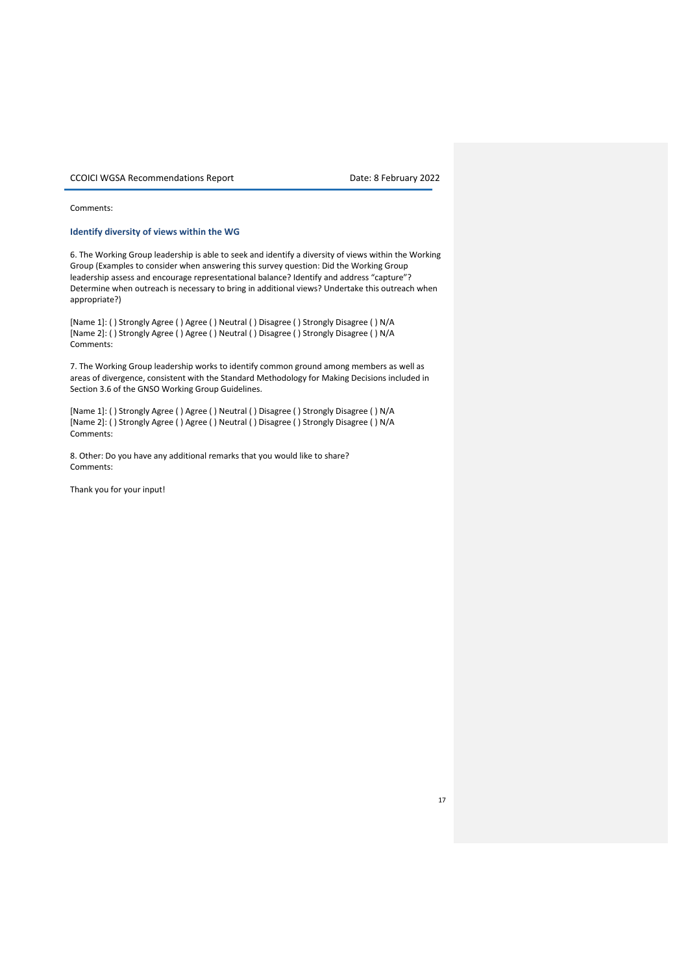### Comments:

### **Identify diversity of views within the WG**

6. The Working Group leadership is able to seek and identify a diversity of views within the Working Group (Examples to consider when answering this survey question: Did the Working Group leadership assess and encourage representational balance? Identify and address "capture"? Determine when outreach is necessary to bring in additional views? Undertake this outreach when appropriate?)

[Name 1]: ( ) Strongly Agree ( ) Agree ( ) Neutral ( ) Disagree ( ) Strongly Disagree ( ) N/A [Name 2]: ( ) Strongly Agree ( ) Agree ( ) Neutral ( ) Disagree ( ) Strongly Disagree ( ) N/A Comments:

7. The Working Group leadership works to identify common ground among members as well as areas of divergence, consistent with the Standard Methodology for Making Decisions included in Section 3.6 of the GNSO Working Group Guidelines.

[Name 1]: ( ) Strongly Agree ( ) Agree ( ) Neutral ( ) Disagree ( ) Strongly Disagree ( ) N/A [Name 2]: ( ) Strongly Agree ( ) Agree ( ) Neutral ( ) Disagree ( ) Strongly Disagree ( ) N/A Comments:

8. Other: Do you have any additional remarks that you would like to share? Comments:

Thank you for your input!